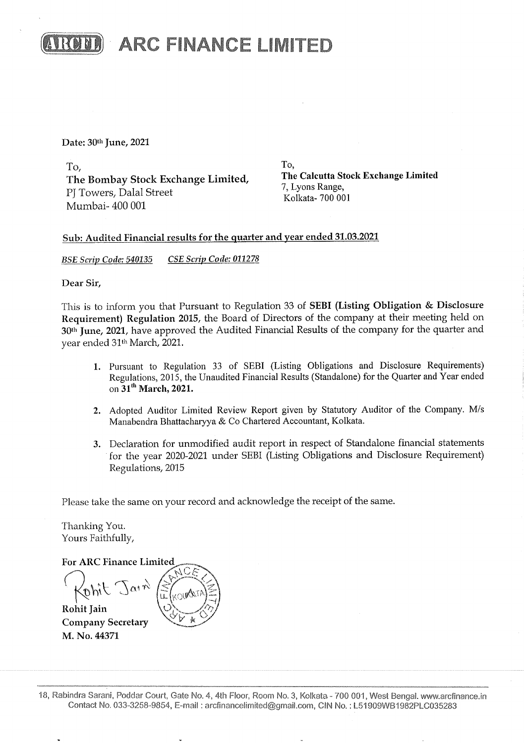

**AROM ARC FINANCE LIMITED** 

Date: 30th June, 2021

 $T<sub>0</sub>$ , To, To,<br>The Bombay Stock Exchange Limited, The Calcutta Stock Exchange Limited P 7, Lyons Range,<br>P 7, Lyons Range,<br>Kolkata- 700 001 Mumbai- 400 001

## Sub: Audited Financial results for the quarter and year ended 31.03.2021

BSE Scrip Code: 540135 CSE Scrip Code: 011278

Dear Sir,

This is to inform you that Pursuant to Regulation 33 of SEBI (Listing Obligation & Disclosure Requirement) Regulation 2015, the Board of Directors of the company at their meeting held on 30<sup>th</sup> June, 2021, have approved the Audited Financial Results of the company for the quarter and year ended 31<sup>th</sup> March, 2021.

- 1. Pursuant to Regulation 33 of SEBI (Listing Obligations and Disclosure Requirements) Regulations, 2015, the Unaudited Financial Results (Standalone) for the Quarter and Year ended on  $31<sup>th</sup>$  March, 2021.
- 2. Adopted Auditor Limited Review Report given by Statutory Auditor of the Company. M/s Manabendra Bhattacharyya & Co Chartered Accountant, Kolkata.
- 3. Declaration for unmodified audit report in respect of Standalone financial statements 'for the year 2020-2021 under SEBI (Listing Obligations and Disclosure Requirement) Regulations, 2015

Please take the same on your record and acknowledge the receipt of the same.

Thanking You. Yours Faithfully,

C. Because the same on your<br>for the year 2020-<br>Regulations, 2015<br>Please take the same on your<br>Thanking You.<br>Yours Faithfully,<br>For ARC Finance Limited<br> $\bigcap_{u \in V} \bigcap_{v \in V} \bigcap_{v \in V} \bigcap_{v \in V} \bigcap_{v \in V} \bigcap_{v \in V} \bigcap_{v \in V} \bigcap_{v \in$  $\alpha$ <sup>1</sup> $\gamma$ <sup>3</sup> Rohit Jain Company Secretary M. No. 44371 To,<br>
The Bombay Stock Exchange Limited,<br>
P] Towers, Dalal Street<br>
Mumbai- 400 001<br>
Sub: Audited Financial results for the quarter<br> *BSE Scrip Code: 540135*<br>
CSE Scrip Code: 011278<br>
Dear Sir,<br>
This is to inform you that Pu Bub: Audited Friancel Festilis for the quarter<br>
BSE Scrip Code: 540135 CSE Scrip Code: 011278<br>
Dear Sir,<br>
This is to inform you that Pursuant to Regular<br>
Requirement) Regulation 2015, the Board of<br>
30<sup>th</sup> June, 2021, have

urt, Gate<br>854, E-m<br>-18, Rabindra Sarani, Poddar Court, Gate No. 4, 4th Floor, Room No. 3, Kolkata - 700 001, West Bengal. www.arcfinance.in Contact No, 033-3258-9854, E-mail : arclinancelimited@gmail.com, CIN No. : L57909WB1982PLC035283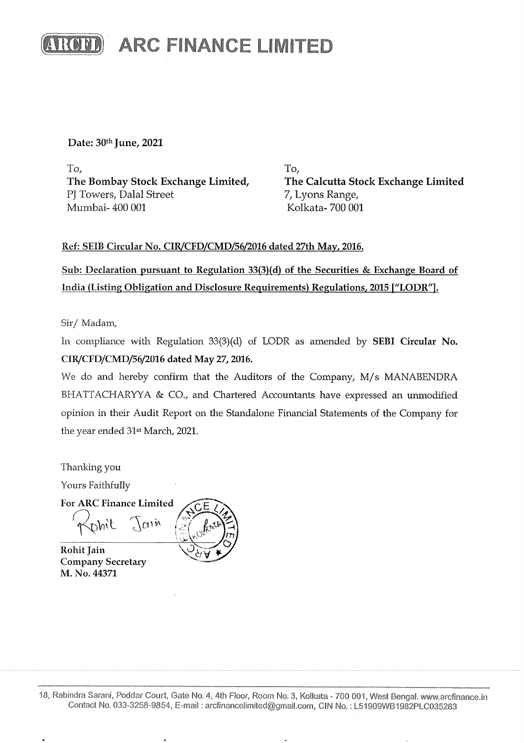

Date: 30th June, 2021

 $\Gamma$ o,  $\Gamma$ o,  $\Gamma$ o,  $\Gamma$ o,  $\Gamma$ o,  $\Gamma$ o,  $\Gamma$ o,  $\Gamma$ o,  $\Gamma$ o,  $\Gamma$ o,  $\Gamma$ o,  $\Gamma$ o,  $\Gamma$ o,  $\Gamma$ o,  $\Gamma$ o,  $\Gamma$ o,  $\Gamma$ o,  $\Gamma$ o,  $\Gamma$ o,  $\Gamma$ o,  $\Gamma$ o,  $\Gamma$ o,  $\Gamma$ o,  $\Gamma$ o,  $\Gamma$ o,  $\Gamma$ o,  $\Gamma$ o,  $\Gamma$ o,  $\Gamma$ o,  $\Gamma$ o,  $\Gamma$ o,  $\Gamma$ The Bombay Stock Exchange Limited, The Calcutta Stock Exchange Limited PJ Towers, Dalal Street 7, Lyons Range, Mumbai- 400 001 Kolkata- 700 001

### Ref: SEIB Circular No. CIR/CFD/CMD/56/2016 dated 27th May, 2016.

Sub: Declaration pursuant to Regulation 33(3)(d) of the Securities & Exchange Board of India (Listing Obligation and Disclosure Requirements) Regulations, 2015 ["LODR".

Sir/ Madam,

In compliance with Regulation 33(3)(d) of LODR as amended by SEBI Circular No. CIR/CFD/CMD/56/2016 dated May 27, 2016.

We do and hereby confirm that the Auditors of the Company, M/s MANABENDRA BHATTACHARYYA & CO., and Chartered Accountants have expressed an unmodified opinion in their Audit Report on the Standalone Financial Statements of the Company for the year ended 31st March, 2021. BHATTACHARY<br>opinion in their A<br>the year ended 31:<br>Thanking you<br>Yours Faithfully<br>For ARC Finance Ref: SEIB Circular No. CIR/CFD/CMD/56/2010<br>
Sub: Declaration pursuant to Regulation 33(2)<br>
India (Listing Obligation and Disclosure Req:<br>
Sir/ Madam,<br>
In compliance with Regulation 33(3)(d) of<br>
CIR/CFD/CMD/56/2016 dated M

Thanking you

Yours Faithfully

For ARC Finance Limited

Thanking you<br>
Yours Faithfully<br>
For ARC Finance Limited<br>
Phit  $\int$  $(1)^{\hat{n}}$ <br>
Rohit Jain<br>
Company Secretary<br>
M. No. 44371<br>
M. No. 44371<br>
18, Rabindra Sarani, Poddar Court, Gate<br>
Contact No. 033-3258-9854, E-m Rohit Jain Company Secretary M. No. 44371

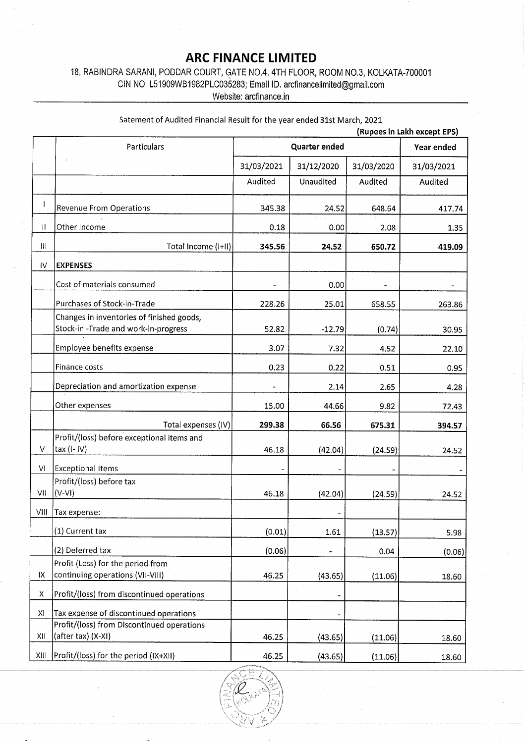## ARC FINANCE LIMITED

|                    | 18, RABINDRA SARANI, PODDAR COURT, GATE NO.4, 4TH FLOOR, ROOM NO.3, KOLKATA-700001<br>CIN NO. L51909WB1982PLC035283; Email ID. arcfinancelimited@gmail.com | <b>ARC FINANCE LIMITED</b> |                  |            |                             |
|--------------------|------------------------------------------------------------------------------------------------------------------------------------------------------------|----------------------------|------------------|------------|-----------------------------|
|                    |                                                                                                                                                            |                            |                  |            |                             |
|                    |                                                                                                                                                            |                            |                  |            |                             |
|                    |                                                                                                                                                            |                            |                  |            |                             |
|                    |                                                                                                                                                            |                            |                  |            |                             |
|                    |                                                                                                                                                            |                            |                  |            |                             |
|                    |                                                                                                                                                            |                            |                  |            |                             |
|                    |                                                                                                                                                            |                            |                  |            |                             |
|                    |                                                                                                                                                            |                            |                  |            |                             |
|                    |                                                                                                                                                            |                            |                  |            |                             |
|                    |                                                                                                                                                            |                            |                  |            |                             |
|                    |                                                                                                                                                            |                            |                  |            |                             |
|                    |                                                                                                                                                            |                            |                  |            |                             |
|                    |                                                                                                                                                            |                            |                  |            |                             |
|                    |                                                                                                                                                            |                            |                  |            |                             |
|                    |                                                                                                                                                            | Website: arcfinance.in     |                  |            |                             |
|                    |                                                                                                                                                            |                            |                  |            |                             |
|                    | Satement of Audited Financial Result for the year ended 31st March, 2021                                                                                   |                            |                  |            | (Rupees in Lakh except EPS) |
|                    | <b>Particulars</b>                                                                                                                                         |                            | Quarter ended    |            | Year ended                  |
|                    |                                                                                                                                                            | 31/03/2021                 | 31/12/2020       | 31/03/2020 | 31/03/2021                  |
|                    |                                                                                                                                                            | Audited                    | <b>Unaudited</b> | Audited    | Audited                     |
|                    |                                                                                                                                                            |                            |                  |            |                             |
|                    | <b>Revenue From Operations</b>                                                                                                                             | 345.38                     | 24.52            | 648.64     | 417.74                      |
| П.                 | Other Income                                                                                                                                               | 0.18                       | 0.00             | 2.08       | 1,35                        |
| $\mathbf{H}$       | Total Income (I+II)                                                                                                                                        | 345.56                     | 24.52            | 650.72     | 419.09                      |
| IV                 | <b>EXPENSES</b>                                                                                                                                            |                            |                  |            |                             |
|                    | Cost of materials consumed                                                                                                                                 |                            | 0.00             |            |                             |
|                    | Purchases of Stock-in-Trade<br>Changes in inventories of finished goods,                                                                                   | 228.26                     | 25.01            | 658.55     | 263.86                      |
|                    | Stock-in-Trade and work-in-progress                                                                                                                        | 52.82                      | $-12.79$         | (0.74)     | 30.95                       |
|                    | Employee benefits expense                                                                                                                                  | 3.07                       | 7.32             | 4.52       | 22.10                       |
|                    | Finance costs                                                                                                                                              | 0.23                       | 0.22             | 0.51       | 0.95                        |
|                    | Depreciation and amortization expense                                                                                                                      |                            | 2.14             | 2.65       | 4.28                        |
|                    | Other expenses                                                                                                                                             | 15.00                      | 44.66            | 9.82       | 72.43                       |
|                    | Total expenses (IV)                                                                                                                                        | 299.38                     | 66.56            | 675.31     | 394.57                      |
|                    | Profit/(loss) before exceptional items and                                                                                                                 |                            |                  |            |                             |
|                    | tax (I-IV)                                                                                                                                                 | 46.18                      | (42.04)          | (24.59)    | 24.52                       |
| $\vee$             |                                                                                                                                                            |                            |                  |            |                             |
| VI                 | <b>Exceptional Items</b>                                                                                                                                   |                            | (42.04)          | (24.59)    | 24.52                       |
| VII                | Profit/(loss) before tax<br>$(V-VI)$                                                                                                                       | 46.18                      |                  |            |                             |
| VIII               | Tax expense:                                                                                                                                               |                            |                  |            |                             |
|                    | (1) Current tax                                                                                                                                            | (0.01)                     | 1.61             | (13.57)    | 5.98                        |
|                    | (2) Deferred tax                                                                                                                                           | (0.06)                     |                  | 0.04       |                             |
|                    | Profit (Loss) for the period from                                                                                                                          |                            |                  |            |                             |
| IX                 | continuing operations (VII-VIII)                                                                                                                           | 46.25                      | (43.65)          | (11.06)    |                             |
| $\pmb{\mathsf{X}}$ | Profit/(loss) from discontinued operations                                                                                                                 |                            | -                |            |                             |
| XI                 | Tax expense of discontinued operations                                                                                                                     |                            |                  |            | (0.06)<br>18.60             |
| XII                | Profit/(loss) from Discontinued operations<br>(after tax) (X-XI)                                                                                           | 46.25                      | (43.65)          | (11.06)    | 18.60                       |



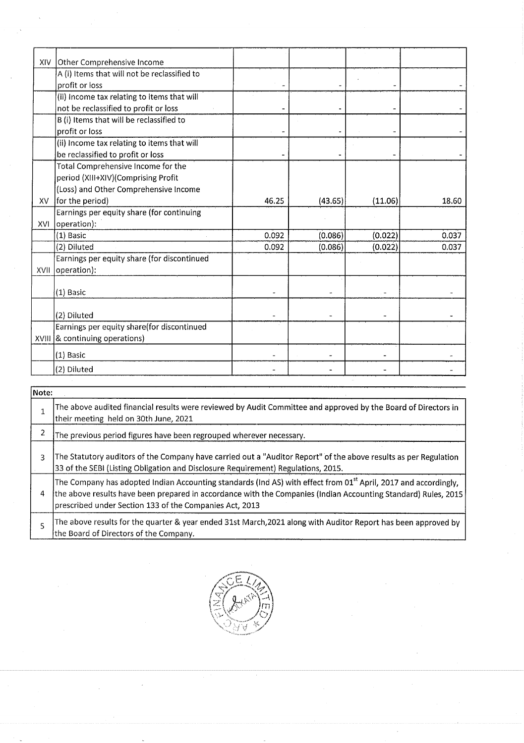| XIV            | Other Comprehensive Income                                                                                                                                                                                       |                          |                          |                |                |
|----------------|------------------------------------------------------------------------------------------------------------------------------------------------------------------------------------------------------------------|--------------------------|--------------------------|----------------|----------------|
|                | A (i) Items that will not be reclassified to<br>profit or loss                                                                                                                                                   |                          |                          |                |                |
|                | (ii) Income tax relating to items that will                                                                                                                                                                      |                          |                          |                |                |
|                | not be reclassified to profit or loss<br>B (i) Items that will be reclassified to                                                                                                                                |                          |                          |                |                |
|                | profit or loss<br>(ii) Income tax relating to items that will                                                                                                                                                    |                          |                          |                |                |
|                | be reclassified to profit or loss                                                                                                                                                                                |                          |                          |                |                |
|                | Total Comprehensive Income for the<br>period (XIII+XIV)(Comprising Profit                                                                                                                                        |                          |                          |                |                |
|                | (Loss) and Other Comprehensive Income                                                                                                                                                                            |                          |                          |                |                |
| XV             | for the period)<br>Earnings per equity share (for continuing                                                                                                                                                     | 46.25                    | (43.65)                  | (11.06)        | 18.60          |
|                | $XVI$ operation):<br>$(1)$ Basic                                                                                                                                                                                 | 0.092                    | (0.086)                  | (0.022)        | 0.037          |
|                | (2) Diluted                                                                                                                                                                                                      | 0.092                    | (0.086)                  | (0.022)        | 0.037          |
|                | Earnings per equity share (for discontinued<br>XVII   operation):                                                                                                                                                |                          |                          |                |                |
|                | $(1)$ Basic                                                                                                                                                                                                      |                          |                          |                |                |
|                |                                                                                                                                                                                                                  |                          |                          |                |                |
|                | (2) Diluted<br>Earnings per equity share(for discontinued                                                                                                                                                        |                          |                          |                |                |
|                | XVIII & continuing operations)                                                                                                                                                                                   |                          |                          |                |                |
|                | (1) Basic<br>(2) Diluted                                                                                                                                                                                         | $\overline{\phantom{m}}$ | $\overline{\phantom{a}}$ | $\blacksquare$ | $\blacksquare$ |
|                |                                                                                                                                                                                                                  |                          |                          |                |                |
| Note:          | The above audited financial results were reviewed by Audit Committee and approved by the Board of Directors in                                                                                                   |                          |                          |                |                |
| $\mathbf 1$    | their meeting held on 30th June, 2021                                                                                                                                                                            |                          |                          |                |                |
| 2              | The previous period figures have been regrouped wherever necessary.                                                                                                                                              |                          |                          |                |                |
| 3              | The Statutory auditors of the Company have carried out a "Auditor Report" of the above results as per Regulation                                                                                                 |                          |                          |                |                |
|                | 33 of the SEBI (Listing Obligation and Disclosure Requirement) Regulations, 2015.<br>The Company has adopted Indian Accounting standards (Ind AS) with effect from 01 <sup>st</sup> April, 2017 and accordingly, |                          |                          |                |                |
| 4              | the above results have been prepared in accordance with the Companies (Indian Accounting Standard) Rules, 2015                                                                                                   |                          |                          |                |                |
|                | prescribed under Section 133 of the Companies Act, 2013<br>The above results for the quarter & year ended 31st March, 2021 along with Auditor Report has been approved by                                        |                          |                          |                |                |
| $\overline{5}$ | the Board of Directors of the Company.                                                                                                                                                                           |                          |                          |                |                |
|                |                                                                                                                                                                                                                  |                          |                          |                |                |
|                |                                                                                                                                                                                                                  |                          |                          |                |                |
|                |                                                                                                                                                                                                                  |                          |                          |                |                |
|                |                                                                                                                                                                                                                  |                          |                          |                |                |
|                |                                                                                                                                                                                                                  |                          |                          |                |                |

| Note: |                                                                                                                                                                                                                                                                                                          |
|-------|----------------------------------------------------------------------------------------------------------------------------------------------------------------------------------------------------------------------------------------------------------------------------------------------------------|
|       | The above audited financial results were reviewed by Audit Committee and approved by the Board of Directors in<br>their meeting held on 30th June, 2021                                                                                                                                                  |
| 2     | The previous period figures have been regrouped wherever necessary.                                                                                                                                                                                                                                      |
| 3     | The Statutory auditors of the Company have carried out a "Auditor Report" of the above results as per Regulation<br>33 of the SEBI (Listing Obligation and Disclosure Requirement) Regulations, 2015.                                                                                                    |
| 4     | The Company has adopted Indian Accounting standards (Ind AS) with effect from 01 <sup>st</sup> April, 2017 and accordingly,<br>the above results have been prepared in accordance with the Companies (Indian Accounting Standard) Rules, 2015<br>prescribed under Section 133 of the Companies Act, 2013 |
|       | The above results for the quarter & year ended 31st March, 2021 along with Auditor Report has been approved by<br>the Board of Directors of the Company.                                                                                                                                                 |

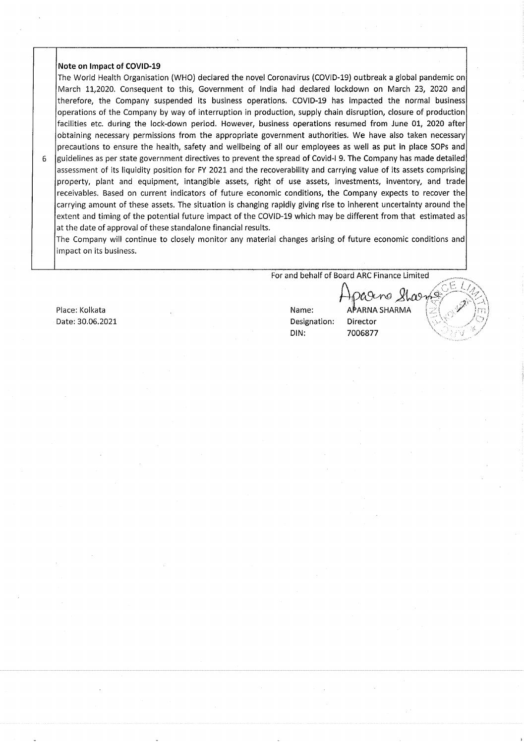#### Note on Impact of COVID-19

The World Health Organisation (WHO) declared the novel Coronavirus (COVID-19) outbreak a global pandemic on March 11,2020. Consequent to this, Government of India had declared lockdown on March 23, 2020 and therefore, the Company suspended its business operations. COVID-19 has Impacted the normal business operations of the Company by way of interruption in production, supply chain disruption, closure of production facilities etc. during the lock-down period. However, business operations resumed from June 01, 2020 after obtaining necessary permissions from the appropriate government authorities. We have also taken necessary precautions to ensure the health, safety and wellbeing of all our employees as well as put in place SOPs and

guidelines as per state government directives to prevent the spread of Covid-l 9. The Company has made detailed assessment of its liquidity position for FY 2021 and the recoverability and carrying value of its assets comprising property, plant and equipment, intangible assets, right of use assets, investments, inventory, and trade receivables. Based on current indicators of future economic conditions, the Company expects to recover the carrying amount of these assets. The situation is changing rapidly giving rise to inherent uncertainty around the extent and timing of the potential future impact of the COVID-19 which may be different from that estimated as at the date of approval of these standalone financial results. Note on Impact of COVID-19<br>The World Health Organisation (WHO) declared the novel Coronavirus (COVID-19) outbreak a global pat<br>
March 11,2020. Consequent to this, Government of India had declared lockdown on March 23,<br>
the 6 guidelines as per state government directives to prevent<br>assessment of its liquidity position for PY 2021 and the<br>property, plant and equipment, intangible assests, rig<br>receivables. Based on current indicators of future

The Company will continue to closely monitor any material changes arising of future economic conditions and impact on its business.

For and behalf of Board ARC Finance Limited

Date: 30.06.2021 **Designation:** Director

DIN: 7006877

rageno Shae Place: Kolkata Name: APARNA SHARMA SHARMA SHARMA SHARMA SHARMA NAME: APARNA SHARMA SHARMA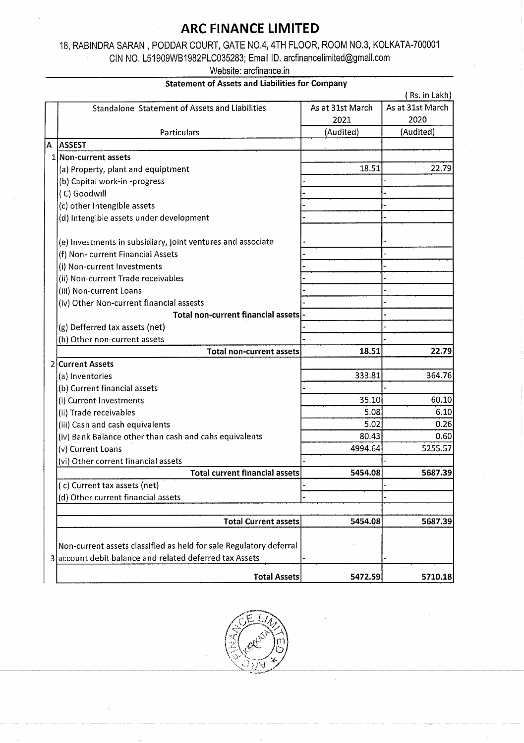# ARC FINANCE LIMITED

|   | <b>ARC FINANCE LIMITED</b><br>18, RABINDRA SARANI, PODDAR COURT, GATE NO.4, 4TH FLOOR, ROOM NO.3, KOLKATA-700001 |                   |                   |
|---|------------------------------------------------------------------------------------------------------------------|-------------------|-------------------|
|   |                                                                                                                  |                   |                   |
|   |                                                                                                                  |                   |                   |
|   |                                                                                                                  |                   |                   |
|   |                                                                                                                  |                   |                   |
|   |                                                                                                                  |                   |                   |
|   |                                                                                                                  |                   |                   |
|   |                                                                                                                  |                   |                   |
|   |                                                                                                                  |                   |                   |
|   |                                                                                                                  |                   |                   |
|   |                                                                                                                  |                   |                   |
|   | CIN NO. L51909WB1982PLC035283; Email ID. arcfinancelimited@gmail.com                                             |                   |                   |
|   | Website: arcfinance.in                                                                                           |                   |                   |
|   | <b>Statement of Assets and Liabilities for Company</b>                                                           |                   | (Rs. in Lakh)     |
|   | Standalone Statement of Assets and Liabilities                                                                   | As at 31st March  | As at 31st March  |
|   | Particulars                                                                                                      | 2021<br>(Audited) | 2020<br>(Audited) |
| A | ASSEST                                                                                                           |                   |                   |
|   | 1 Non-current assets                                                                                             |                   |                   |
|   | (a) Property, plant and equiptment                                                                               | 18.51             |                   |
|   | (b) Capital work-in -progress<br>(C) Goodwill                                                                    |                   |                   |
|   | (c) other Intengible assets                                                                                      |                   |                   |
|   | (d) Intengible assets under development                                                                          |                   |                   |
|   |                                                                                                                  |                   |                   |
|   | (e) Investments in subsidiary, joint ventures and associate<br>(f) Non-current Financial Assets                  |                   |                   |
|   | (i) Non-current Investments                                                                                      |                   |                   |
|   | (ii) Non-current Trade receivables                                                                               |                   |                   |
|   | (iii) Non-current Loans                                                                                          |                   |                   |
|   | (iv) Other Non-current financial assests<br>Total non-current financial assets-                                  |                   |                   |
|   | (g) Defferred tax assets (net)                                                                                   |                   |                   |
|   | (h) Other non-current assets                                                                                     |                   |                   |
|   | <b>Total non-current assets</b>                                                                                  | 18.51             | 22.79             |
|   | 2 Current Assets<br>(a) Inventories                                                                              | 333.81            | 364.76            |
|   | (b) Current financial assets                                                                                     |                   |                   |
|   | (i) Current Investments                                                                                          | 35.10             |                   |
|   | (ii) Trade receivables                                                                                           | 5.08              |                   |
|   | (iii) Cash and cash equivalents<br>(iv) Bank Balance other than cash and cahs equivalents                        | 5.02<br>80.43     |                   |
|   | (v) Current Loans                                                                                                | 4994.64           | 5255.57           |
|   | (vi) Other corrent financial assets                                                                              |                   |                   |
|   | <b>Total current financial assets</b>                                                                            | 5454.08           | 5687.39           |
|   | (c) Current tax assets (net)<br>(d) Other current financial assets                                               |                   |                   |
|   |                                                                                                                  |                   |                   |
|   | <b>Total Current assets</b>                                                                                      | 5454.08           | 5687.39           |
|   |                                                                                                                  |                   |                   |
|   | Non-current assets classified as held for sale Regulatory deferral                                               |                   |                   |
|   |                                                                                                                  |                   |                   |
|   | 3 account debit balance and related deferred tax Assets<br><b>Total Assets</b>                                   | 5472.59           | 5710.18           |



l.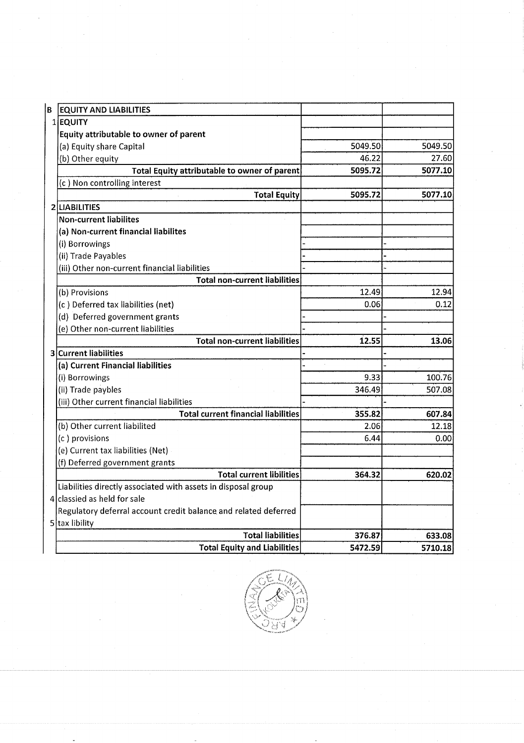| $\sim$                                                        |                                                                                                                                                                                                                                                                                                                                                                                                                                                                                                                      |                                                                                                         |
|---------------------------------------------------------------|----------------------------------------------------------------------------------------------------------------------------------------------------------------------------------------------------------------------------------------------------------------------------------------------------------------------------------------------------------------------------------------------------------------------------------------------------------------------------------------------------------------------|---------------------------------------------------------------------------------------------------------|
| $\sim 0.1$                                                    |                                                                                                                                                                                                                                                                                                                                                                                                                                                                                                                      |                                                                                                         |
|                                                               |                                                                                                                                                                                                                                                                                                                                                                                                                                                                                                                      |                                                                                                         |
|                                                               |                                                                                                                                                                                                                                                                                                                                                                                                                                                                                                                      |                                                                                                         |
|                                                               |                                                                                                                                                                                                                                                                                                                                                                                                                                                                                                                      |                                                                                                         |
| <b>EQUITY AND LIABILITIES</b>                                 |                                                                                                                                                                                                                                                                                                                                                                                                                                                                                                                      |                                                                                                         |
| Equity attributable to owner of parent                        |                                                                                                                                                                                                                                                                                                                                                                                                                                                                                                                      |                                                                                                         |
| (a) Equity share Capital                                      | 46.22                                                                                                                                                                                                                                                                                                                                                                                                                                                                                                                | 5049.50<br>27.60                                                                                        |
|                                                               | 5095.72                                                                                                                                                                                                                                                                                                                                                                                                                                                                                                              | 5077.10                                                                                                 |
| <b>Total Equity</b>                                           | 5095.72                                                                                                                                                                                                                                                                                                                                                                                                                                                                                                              | 5077.10                                                                                                 |
| Non-current liabilites                                        |                                                                                                                                                                                                                                                                                                                                                                                                                                                                                                                      |                                                                                                         |
| (a) Non-current financial liabilites                          |                                                                                                                                                                                                                                                                                                                                                                                                                                                                                                                      |                                                                                                         |
| (ii) Trade Payables                                           |                                                                                                                                                                                                                                                                                                                                                                                                                                                                                                                      |                                                                                                         |
| <b>Total non-current liabilities</b>                          |                                                                                                                                                                                                                                                                                                                                                                                                                                                                                                                      |                                                                                                         |
| (b) Provisions                                                | 12.49                                                                                                                                                                                                                                                                                                                                                                                                                                                                                                                | 12.94<br>0.12                                                                                           |
| (d) Deferred government grants                                |                                                                                                                                                                                                                                                                                                                                                                                                                                                                                                                      |                                                                                                         |
| <b>Total non-current liabilities</b>                          | 12.55                                                                                                                                                                                                                                                                                                                                                                                                                                                                                                                | 13.06                                                                                                   |
| 3 Current liabilities                                         |                                                                                                                                                                                                                                                                                                                                                                                                                                                                                                                      |                                                                                                         |
| (i) Borrowings                                                | 9.33                                                                                                                                                                                                                                                                                                                                                                                                                                                                                                                 | 100.76<br>507.08                                                                                        |
| (iii) Other current financial liabilities                     |                                                                                                                                                                                                                                                                                                                                                                                                                                                                                                                      |                                                                                                         |
| (b) Other current liabilited                                  | 2.06                                                                                                                                                                                                                                                                                                                                                                                                                                                                                                                 | 607.84<br>12.18                                                                                         |
| (c) provisions                                                | 6.44                                                                                                                                                                                                                                                                                                                                                                                                                                                                                                                 | 0.00                                                                                                    |
| (f) Deferred government grants                                |                                                                                                                                                                                                                                                                                                                                                                                                                                                                                                                      |                                                                                                         |
| Liabilities directly associated with assets in disposal group |                                                                                                                                                                                                                                                                                                                                                                                                                                                                                                                      | 620.02                                                                                                  |
| $4$ classied as held for sale                                 |                                                                                                                                                                                                                                                                                                                                                                                                                                                                                                                      |                                                                                                         |
| 5 tax libility                                                |                                                                                                                                                                                                                                                                                                                                                                                                                                                                                                                      |                                                                                                         |
| <b>Total Equity and Liabilities</b>                           | 5472.59                                                                                                                                                                                                                                                                                                                                                                                                                                                                                                              | 633.08<br>5710.18                                                                                       |
|                                                               |                                                                                                                                                                                                                                                                                                                                                                                                                                                                                                                      |                                                                                                         |
|                                                               |                                                                                                                                                                                                                                                                                                                                                                                                                                                                                                                      |                                                                                                         |
|                                                               | $1$ <b>EQUITY</b><br>(b) Other equity<br>(c) Non controlling interest<br>2 LIABILITIES<br>(i) Borrowings<br>(iii) Other non-current financial liabilities<br>(c) Deferred tax liabilities (net)<br>(e) Other non-current liabilities<br>(a) Current Financial liabilities<br>(ii) Trade paybles<br><b>Total current financial liabilities</b><br>(e) Current tax liabilities (Net)<br><b>Total current libilities</b><br>Regulatory deferral account credit balance and related deferred<br><b>Total liabilities</b> | 5049.50<br>Total Equity attributable to owner of parent<br>0.06<br>346.49<br>355.82<br>364.32<br>376.87 |

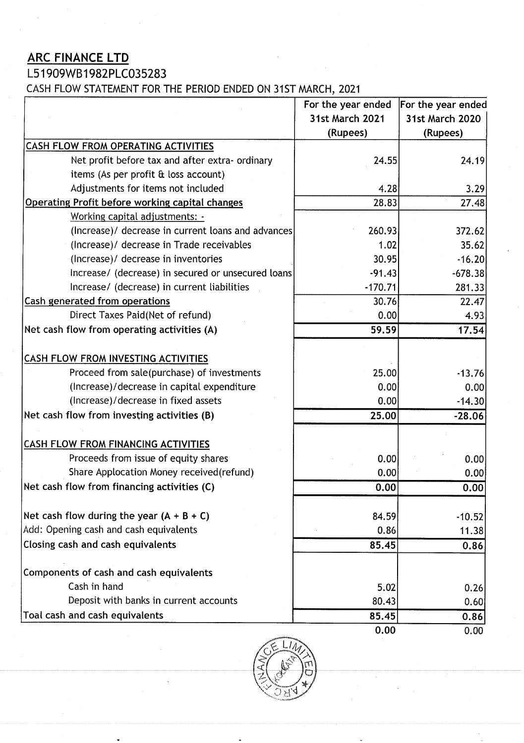# ARC FINANCE LTD

ARC FINANCE LTD<br>L51909WB1982PLC035283<br>CASH FLOW STATEMENT FOR THE PERIOD ENDED CASH FLOW STATEMENT FOR THE PERIOD ENDED ON 31ST MARCH, 2021

| $\sim 5\%$                                                                                                                                                                                                              | $\sim 100$                                             |                                                                                   |
|-------------------------------------------------------------------------------------------------------------------------------------------------------------------------------------------------------------------------|--------------------------------------------------------|-----------------------------------------------------------------------------------|
|                                                                                                                                                                                                                         |                                                        |                                                                                   |
| <b>ARC FINANCE LTD</b>                                                                                                                                                                                                  | $\sim 100$                                             |                                                                                   |
| L51909WB1982PLC035283                                                                                                                                                                                                   | $\sim 100$<br>$\frac{1}{2} \left( \frac{1}{2} \right)$ |                                                                                   |
| CASH FLOW STATEMENT FOR THE PERIOD ENDED ON 31ST MARCH, 2021                                                                                                                                                            |                                                        |                                                                                   |
|                                                                                                                                                                                                                         | For the year ended                                     | For the year ended                                                                |
|                                                                                                                                                                                                                         | 31st March 2021                                        | 31st March 2020                                                                   |
|                                                                                                                                                                                                                         | (Rupees)                                               | (Rupees)                                                                          |
| <b>CASH FLOW FROM OPERATING ACTIVITIES</b>                                                                                                                                                                              |                                                        |                                                                                   |
| Net profit before tax and after extra- ordinary                                                                                                                                                                         | 24.55                                                  | 24.19                                                                             |
| items (As per profit & loss account)                                                                                                                                                                                    |                                                        |                                                                                   |
| Adjustments for items not included<br>Operating Profit before working capital changes                                                                                                                                   | 4.28<br>28.83                                          | 3.29<br>27.48                                                                     |
| Working capital adjustments: -                                                                                                                                                                                          |                                                        |                                                                                   |
| (Increase)/ decrease in current loans and advances                                                                                                                                                                      | 260.93                                                 | 372.62                                                                            |
| (Increase)/ decrease in Trade receivables                                                                                                                                                                               | 1.02                                                   | 35.62                                                                             |
| (Increase)/ decrease in inventories                                                                                                                                                                                     | 30.95                                                  | $-16.20$                                                                          |
| Increase/ (decrease) in secured or unsecured loans                                                                                                                                                                      | $-91.43$                                               | $-678.38$                                                                         |
| Increase/ (decrease) in current liabilities                                                                                                                                                                             | $-170.71$                                              | 281.33                                                                            |
| Cash generated from operations                                                                                                                                                                                          | 30.76                                                  | 22.47                                                                             |
|                                                                                                                                                                                                                         |                                                        |                                                                                   |
| Direct Taxes Paid(Net of refund)                                                                                                                                                                                        | 0.00                                                   |                                                                                   |
|                                                                                                                                                                                                                         | 59.59                                                  |                                                                                   |
|                                                                                                                                                                                                                         |                                                        |                                                                                   |
| Proceed from sale(purchase) of investments                                                                                                                                                                              | 25.00                                                  |                                                                                   |
| (Increase)/decrease in capital expenditure                                                                                                                                                                              | 0.00                                                   |                                                                                   |
| (Increase)/decrease in fixed assets                                                                                                                                                                                     | 0.00                                                   |                                                                                   |
|                                                                                                                                                                                                                         | 25.00                                                  |                                                                                   |
|                                                                                                                                                                                                                         |                                                        |                                                                                   |
|                                                                                                                                                                                                                         |                                                        |                                                                                   |
| Net cash flow from operating activities (A)<br>CASH FLOW FROM INVESTING ACTIVITIES<br>Net cash flow from investing activities (B)<br><b>CASH FLOW FROM FINANCING ACTIVITIES</b><br>Proceeds from issue of equity shares | 0.00                                                   |                                                                                   |
| Share Applocation Money received(refund)                                                                                                                                                                                | 0.00                                                   |                                                                                   |
|                                                                                                                                                                                                                         | 0.00                                                   | 4.93<br>17.54<br>$-13.76$<br>0.00<br>$-14.30$<br>$-28.06$<br>0.00<br>0.00<br>0.00 |
| Net cash flow from financing activities (C)<br>Net cash flow during the year $(A + B + C)$                                                                                                                              | 84.59                                                  |                                                                                   |
|                                                                                                                                                                                                                         | 0.86                                                   |                                                                                   |
|                                                                                                                                                                                                                         | 85.45                                                  |                                                                                   |
| Add: Opening cash and cash equivalents<br>Closing cash and cash equivalents                                                                                                                                             |                                                        |                                                                                   |
|                                                                                                                                                                                                                         |                                                        |                                                                                   |
| Cash in hand                                                                                                                                                                                                            | 5.02                                                   |                                                                                   |
| Components of cash and cash equivalents<br>Deposit with banks in current accounts<br>Toal cash and cash equivalents                                                                                                     | 80.43<br>85.45                                         | $-10.52$<br>11.38<br>0.86<br>0.26<br>0.60<br>0.86                                 |

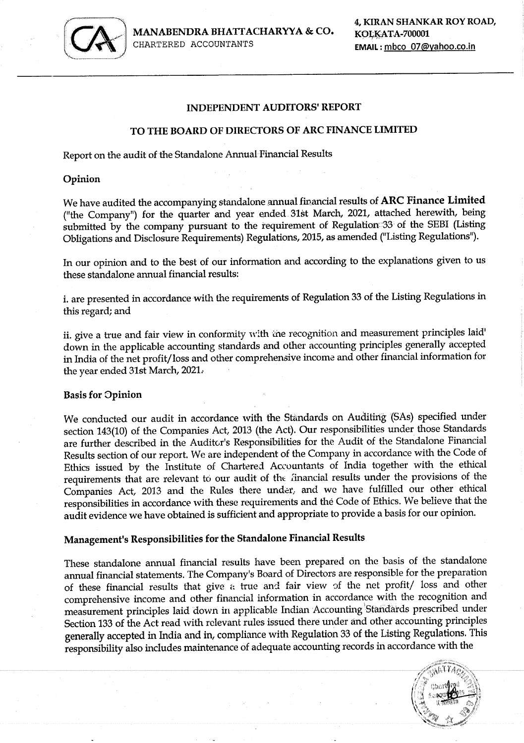

CHARTERED ACCOUNTANTS EMAIL: mbco\_07@yahoo.co.in

#### INDEPENDENT AUDITORS' REPORT

#### TO THE BOARD OF DIRECTORS OF ARC FINANCE LIMITED

Report on the audit of the Standalone Annual Financial Results

Opinion

We have audited the accompanying standalone annual financial results of ARC Finance Limited ("the Company") for the quarter and year ended. 31st March, 2021, attached herewith, being submitted by the company pursuant to the requirement of Regulation-33' of the SEBI (Listing Obligations and Disclosure Requirements) Regulations, 2015, as amended ("Listing Regulations").

In our opinion and to the best of our information and according to the explanations given to us these standalone annual financial results:

i, are presented in accordance with the requirements of Regulation 33 of the Listing Regulations in this regard; and

ii. give a true and fair view in conformity with the recognition and measurement principles laid' down in the applicable accounting standards and other accounting principles generally accepted in India of the net profit/loss and other comprehensive income and other financial information for the year ended 31st March, 2021,

#### Basis for Opinion

We conducted our audit in accordance with the Standards on Auditing (SAs) specified under section 143(10) of the Companies Act, 2013 (the Act). Our responsibilities under those Standards are further described in the Auditor's Responsibilities for the Audit of the Standalone Financial Results section of our report. We are indeperident of the Company in accordance with the Code of Ethics issued by the Institute of Chartered Accountants of India together with the ethical requirements that are relevant to our audit of the 'inancial results under the provisions of the Companies Act, 2013 and the Rules there under, and we have fulfilled our other ethical responsibilities in accordance with these requirements and thé Code of Ethics. We believe that the audit evidence we have obtained is sufficient and appropriate to provide a basis for our opinion. Report on the audit of the Standalone Annual 1<br>
Opinion<br>
We have audited the accompanying standalone<br>
("the Company") for the quarter and year<br>
submitted by the company pursuant to the<br>
colligations and Disclosure Require

## Management's Responsibilities for the Standalone Financial Results

These standalone annual financial results have been prepared on the basis of the standalone annual financial statements. The Company's Board of Directors are responsible for the preparation of these financial results that give « true and fair view of the net profit/ loss and other comprehensive income and other financial information in accordance with the recognition and measurement principles laid down in applicable Indian Accounting 'Standards prescribed under Section 133 of the Act read with relevant rules issued there under and other accounting principles generally accepted in India and in, compliance with Regulation 33 of the Listing Regulations. This responsibility also includes maintenance of adequate accounting records in accordance with the

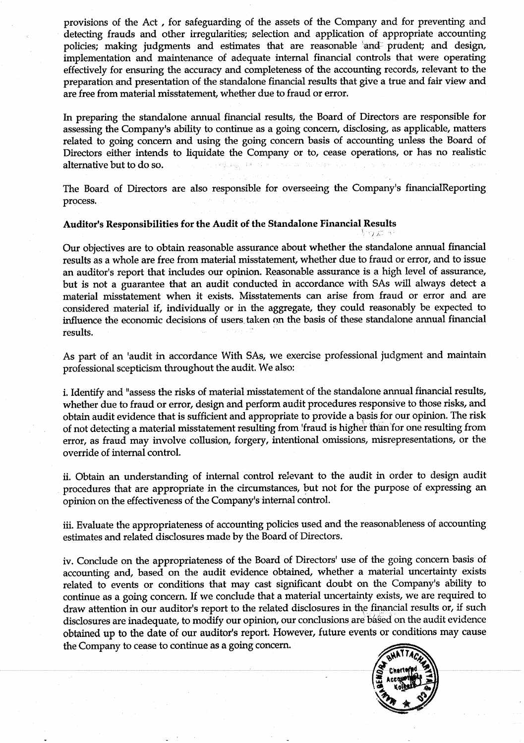provisions of the Act , for safeguarding of the assets of the Company and for preventing and - detecting frauds and other irregularities; selection and application of appropriate accounting policies; making judgments and estimates that are reasonable 'and\* prudent; and design, implementation and maintenance of adequate internal financial controls that were operating effectively for ensuring the accuracy and completeness of the accounting records, relevant to the preparation and presentation of the standalone financial results that give a true and fair view and are free from material misstatement, whether due to fraud or error.

In preparing the standalone annual financial results, the Board of Directors are responsible for assessing the Company's ability to continue as a going concern, disclosing, as applicable, matters related to going concern and using the going concern basis of accounting unless the Board of Directors either intends to liquidate the Company or to, cease operations, or has no realistic alternative but to do so.

The Board of Directors are also responsible for overseeing the Company's financialReporting process.

#### Auditor's Responsibilities for the Audit of the Standalone Financial Results vy feos

Our objectives are to obtain reasonable assurance about whether the standalone annual financial results as a whole are free from material misstatement, whether due to fraud or error, and to issue an auditor's report that includes our opinion. Reasonable assurance is a high level of assurance, but is not a guarantee that an audit conducted in accordance with SAs will always detect a material misstatement when it exists. Misstatements can arise from fraud or error and are considered material if, individually or in the aggregate, they could reasonably be expected to influence the economic decisions of users. taken on the basis of these standalone annual financial results.

As part of an 'audit in accordance With SAs, we exercise professional judgment and maintain professional scepticism throughout the audit. We also:

i, Identify and "assess the risks of material misstatement of the standalone annual financial results, whether due to fraud or error, design and perform audit procedures responsive to those risks, and obtain audit evidence that is sufficient and appropriate to provide a basis for our opinion. The risk of not detecting a material misstatement resulting from 'fraud is higher than for one resulting from error, as fraud may involve collusion, forgery, intentional omissions, misrepresentations, or the override of internal control.

ii. Obtain an understanding of internal control relevant to the audit in order to design audit procedures that are appropriate in the circumstances, but not for the purpose of expressing an opinion on the effectiveness of the Company's internal control.

iii. Evaluate the appropriateness of accounting policies used and the reasonableness of accounting estimates and related disclosures made by the Board of Directors.

iv. Conclude on the appropriateness of the Board of Directors' use of the going concern basis of accounting and, based on the audit evidence obtained, whether a material uncertainty exists related to events or conditions that may cast significant doubt on the Company's ability to continue as a going concern. If we conclude that a material uncertainty exists, we are required to draw attention in our auditor's report to the related disclosures in the financial results or, if such disclosures are inadequate, to modify our opinion, our conclusions are based on the audit evidence obtained up to the date of our auditor's report. However, future events or conditions may cause an auditor's report that includes<br>but is not a guarantee that and<br>material misstatement when it<br>considered material if, individual<br>influence the economic decision<br>results.<br>As part of an 'audit in accorda<br>professional scept the Company to cease to continue as a going concern.